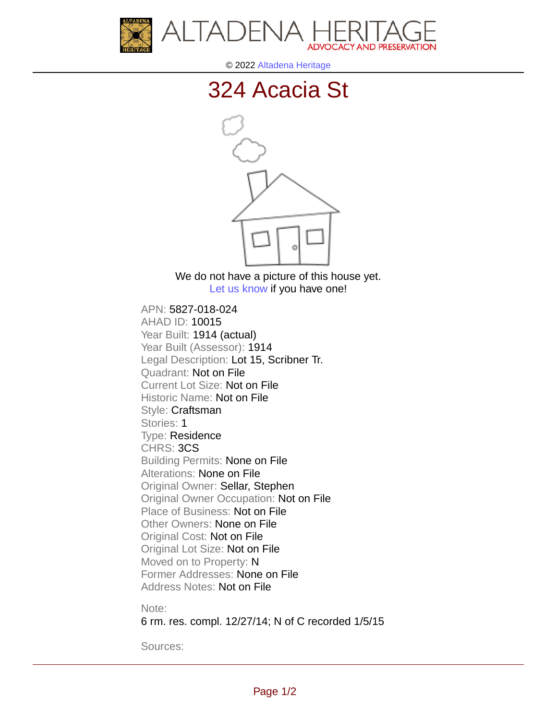



© 2022 [Altadena Heritage](http://altadenaheritage.org/)

## [324 Acacia St](ahad.altadenaheritagepdb.org/properties/10015)



We do not have a picture of this house yet. [Let us know](http://altadenaheritage.org/contact-us/) if you have one!

APN: 5827-018-024 [AHAD ID: 10015](ahad.altadenaheritagepdb.org/properties/10015) Year Built: 1914 (actual) Year Built (Assessor): 1914 Legal Description: Lot 15, Scribner Tr. Quadrant: Not on File Current Lot Size: Not on File Historic Name: Not on File Style: Craftsman Stories: 1 Type: Residence CHRS: 3CS Building Permits: None on File Alterations: None on File Original Owner: Sellar, Stephen Original Owner Occupation: Not on File Place of Business: Not on File Other Owners: None on File Original Cost: Not on File Original Lot Size: Not on File Moved on to Property: N Former Addresses: None on File Address Notes: Not on File

Note:

6 rm. res. compl. 12/27/14; N of C recorded 1/5/15

Sources: